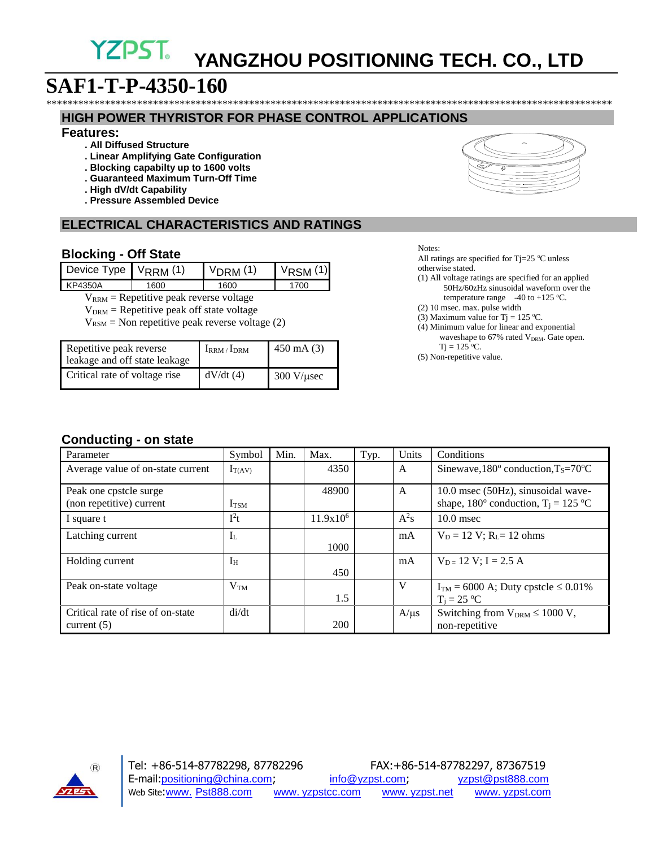## **YZPST YANGZHOU POSITIONING TECH. CO., LTD**

\*\*\*\*\*\*\*\*\*\*\*\*\*\*\*\*\*\*\*\*\*\*\*\*\*\*\*\*\*\*\*\*\*\*\*\*\*\*\*\*\*\*\*\*\*\*\*\*\*\*\*\*\*\*\*\*\*\*\*\*\*\*\*\*\*\*\*\*\*\*\*\*\*\*\*\*\*\*\*\*\*\*\*\*\*\*\*\*\*\*\*\*\*\*\*\*\*\*\*\*\*\*\*\*\*\*

# **SAF1-T-P-4350-160**

#### **HIGH POWER THYRISTOR FOR PHASE CONTROL APPLICATIONS**

#### **Features:**

- **. All Diffused Structure**
- **. Linear Amplifying Gate Configuration**
- **. Blocking capabilty up to 1600 volts**
- **. Guaranteed Maximum Turn-Off Time**
- **. High dV/dt Capability**
- **. Pressure Assembled Device**

## **ELECTRICAL CHARACTERISTICS AND RATINGS**

#### **Blocking - Off State**

| Device Type $V_{RRM}$ (1) |      | <u>DRM</u> (1) | $V_{\text{RSM}}(1)$ |
|---------------------------|------|----------------|---------------------|
| KP4350A                   | 1600 | 1600           | 1700                |
|                           |      |                |                     |

 $V_{RRM}$  = Repetitive peak reverse voltage

 $V<sub>DRM</sub>$  = Repetitive peak off state voltage

 $V_{RSM}$  = Non repetitive peak reverse voltage (2)

| Repetitive peak reverse<br>leakage and off state leakage | $I_{RRM}/I_{DRM}$ | $450 \text{ mA} (3)$           |
|----------------------------------------------------------|-------------------|--------------------------------|
| Critical rate of voltage rise                            | dV/dt(4)          | $300 \text{ V}/\mu \text{sec}$ |

Notes:

All ratings are specified for Tj=25 °C unless otherwise stated.

- (1) All voltage ratings are specified for an applied 50Hz/60zHz sinusoidal waveform over the temperature range  $-40$  to  $+125$  °C.
- (2) 10 msec. max. pulse width
- (3) Maximum value for Tj = 125 °C.
- (4) Minimum value for linear and exponential waveshape to 67% rated V<sub>DRM</sub>. Gate open.  $Tj = 125 °C$ .
- (5) Non-repetitive value.

#### **Conducting - on state**

| Parameter                                          | Symbol           | Min. | Max.        | Typ. | Units     | Conditions                                                                                                |
|----------------------------------------------------|------------------|------|-------------|------|-----------|-----------------------------------------------------------------------------------------------------------|
| Average value of on-state current                  | $I_{T(AV)}$      |      | 4350        |      | A         | Sinewave, $180^\circ$ conduction, $T_s = 70^\circ \text{C}$                                               |
| Peak one cpstcle surge<br>(non repetitive) current | I <sub>TSM</sub> |      | 48900       |      | A         | 10.0 msec (50Hz), sinusoidal wave-<br>shape, 180 $^{\circ}$ conduction, T <sub>i</sub> = 125 $^{\circ}$ C |
| I square t                                         | $I^2t$           |      | $11.9x10^6$ |      | $A^2s$    | $10.0$ msec                                                                                               |
| Latching current                                   | $I_{L}$          |      | 1000        |      | mA        | $V_D = 12$ V; $R_I = 12$ ohms                                                                             |
| Holding current                                    | $I_{H}$          |      | 450         |      | mA        | $V_{D=} 12 V; I = 2.5 A$                                                                                  |
| Peak on-state voltage                              | V <sub>TM</sub>  |      | 1.5         |      | V         | $I_{TM}$ = 6000 A; Duty cpstcle $\leq 0.01\%$<br>$T_i = 25 \text{ °C}$                                    |
| Critical rate of rise of on-state<br>current $(5)$ | di/dt            |      | 200         |      | $A/\mu s$ | Switching from $V_{DRM} \leq 1000$ V,<br>non-repetitive                                                   |

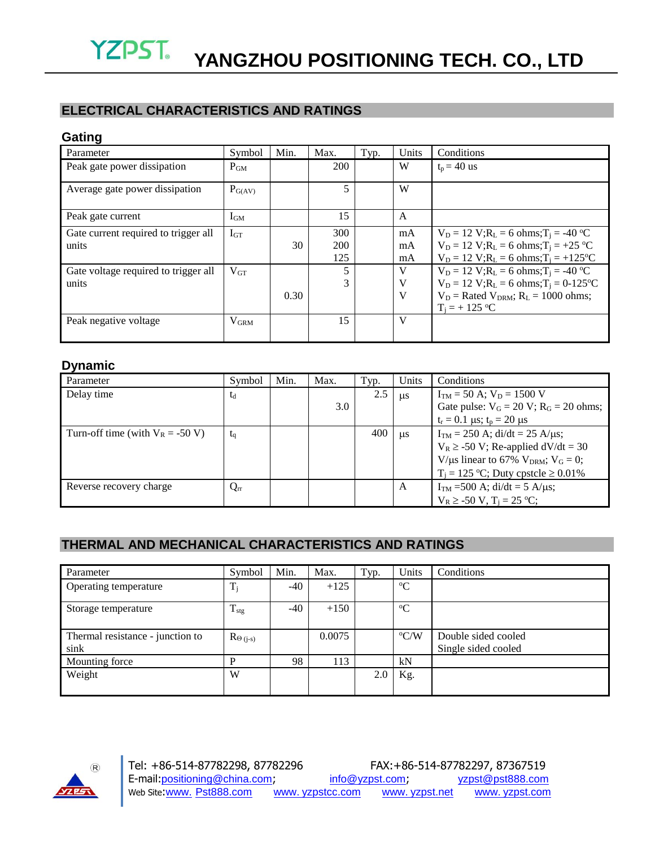## **ELECTRICAL CHARACTERISTICS AND RATINGS**

#### **Gating**

| Parameter                                     | Symbol      | Min. | Max.              | Typ. | Units          | Conditions                                                                                                                                                        |
|-----------------------------------------------|-------------|------|-------------------|------|----------------|-------------------------------------------------------------------------------------------------------------------------------------------------------------------|
| Peak gate power dissipation                   | $P_{GM}$    |      | 200               |      | W              | $t_p = 40$ us                                                                                                                                                     |
| Average gate power dissipation                | $P_{G(AV)}$ |      | 5.                |      | W              |                                                                                                                                                                   |
| Peak gate current                             | $I_{GM}$    |      | 15                |      | A              |                                                                                                                                                                   |
| Gate current required to trigger all<br>units | $I_{GT}$    | 30   | 300<br>200<br>125 |      | mA<br>mA<br>mA | $V_D = 12$ V; $R_L = 6$ ohms; $T_i = -40$ °C<br>$V_D = 12 V; R_L = 6 ohms; T_i = +25 °C$<br>$V_D = 12$ V; $R_L = 6$ ohms; $T_i = +125$ °C                         |
| Gate voltage required to trigger all<br>units | $V_{GT}$    | 0.30 | 5<br>3            |      | V<br>V<br>V    | $V_D = 12$ V; $R_L = 6$ ohms; $T_i = -40$ °C<br>$V_D = 12$ V; $R_L = 6$ ohms; $T_i = 0.125$ °C<br>$V_D$ = Rated $V_{DRM}$ ; $R_L$ = 1000 ohms;<br>$T_i = +125$ °C |
| Peak negative voltage                         | $V_{GRM}$   |      | 15                |      | $\mathbf{V}$   |                                                                                                                                                                   |

### **Dynamic**

| Parameter                           | Symbol   | Min. | Max. | Typ. | Units     | Conditions                                                |
|-------------------------------------|----------|------|------|------|-----------|-----------------------------------------------------------|
| Delay time                          | $t_d$    |      |      | 2.5  | <b>us</b> | $I_{TM}$ = 50 A; $V_D$ = 1500 V                           |
|                                     |          |      | 3.0  |      |           | Gate pulse: $V_G = 20 V$ ; $R_G = 20 ohms$ ;              |
|                                     |          |      |      |      |           | $t_r = 0.1 \,\mu s$ ; $t_p = 20 \,\mu s$                  |
| Turn-off time (with $V_R = -50 V$ ) | $t_q$    |      |      | 400  | us        | $I_{TM} = 250$ A; di/dt = 25 A/µs;                        |
|                                     |          |      |      |      |           | $V_R \ge -50$ V; Re-applied dV/dt = 30                    |
|                                     |          |      |      |      |           | V/µs linear to 67% V <sub>DRM</sub> ; V <sub>G</sub> = 0; |
|                                     |          |      |      |      |           | $T_i = 125$ °C; Duty cpstcle $\geq 0.01\%$                |
| Reverse recovery charge             | $Q_{rr}$ |      |      |      | A         | $I_{TM}$ =500 A; di/dt = 5 A/µs;                          |
|                                     |          |      |      |      |           | $V_R \geq -50 V$ , $T_i = 25 °C$ ;                        |

## **THERMAL AND MECHANICAL CHARACTERISTICS AND RATINGS**

| Parameter                                | Symbol           | Min.  | Max.   | Typ. | Units         | Conditions                                 |
|------------------------------------------|------------------|-------|--------|------|---------------|--------------------------------------------|
| Operating temperature                    | $T_i$            | $-40$ | $+125$ |      | $\rm ^{o}C$   |                                            |
| Storage temperature                      | $T_{\rm stg}$    | $-40$ | $+150$ |      | $\rm ^{o}C$   |                                            |
| Thermal resistance - junction to<br>sink | $\text{Re}(i-s)$ |       | 0.0075 |      | $\rm ^{o}C/W$ | Double sided cooled<br>Single sided cooled |
| Mounting force                           | D                | 98    | 113    |      | kN            |                                            |
| Weight                                   | W                |       |        | 2.0  | Kg.           |                                            |